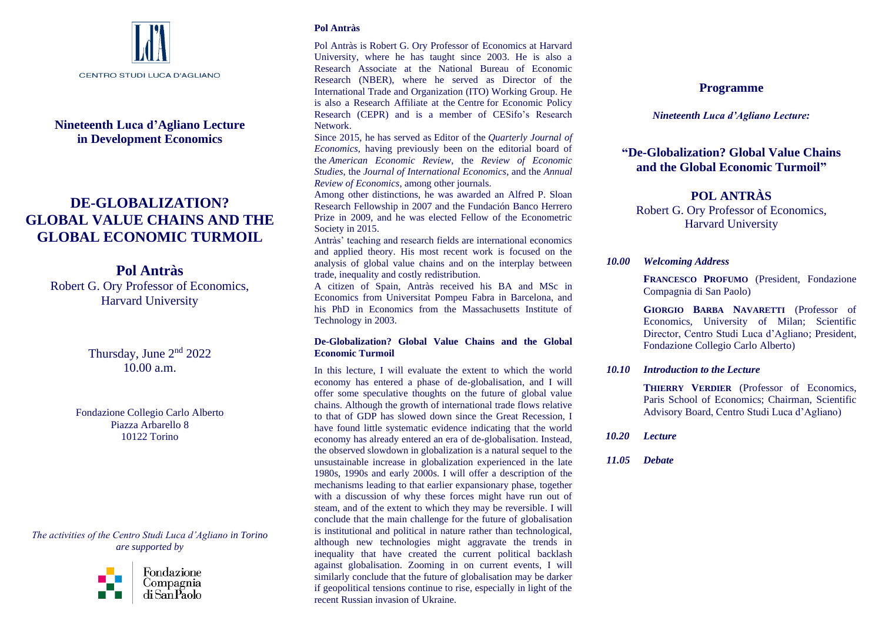

# **Nineteenth Luca d'Agliano Lecture in Development Economics**

# **DE-GLOBALIZATION? GLOBAL VALUE CHAINS AND THE GLOBAL ECONOMIC TURMOIL**

**Pol Antràs** Robert G. Ory Professor of Economics, Harvard University

> Thursday, June 2<sup>nd</sup> 2022 10.00 a.m.

Fondazione Collegio Carlo Alberto Piazza Arbarello 8 10122 Torino

*The activities of the Centro Studi Luca d'Agliano in Torino are supported by* 



# **Pol Antràs**

Pol Antràs is Robert G. Ory Professor of Economics at Harvard University, where he has taught since 2003. He is also a Research Associate at the [National Bureau of Economic](http://www.nber.org/)  [Research](http://www.nber.org/) (NBER), where he served as Director of the International Trade and Organization (ITO) Working Group. He is also a Research Affiliate at the Centre [for Economic Policy](http://www.cepr.org/)  [Research](http://www.cepr.org/) (CEPR) and is a member of [CESifo'](http://www.cesifo-group.de/)s Research Network.

Since 2015, he has served as Editor of the *Quarterly Journal of Economics*, having previously been on the editorial board of the *American Economic Review*, the *Review of Economic Studies*, the *Journal of International Economics*, and the *Annual Review of Economics*, among other journals.

Among other distinctions, he was awarded an Alfred P. Sloan Research Fellowship in 2007 and the Fundación Banco Herrero Prize in 2009, and he was elected Fellow of the Econometric Society in 2015.

Antràs' teaching and research fields are international economics and applied theory. His most recent work is focused on the analysis of global value chains and on the interplay between trade, inequality and costly redistribution.

A citizen of Spain, Antràs received his BA and MSc in Economics from Universitat Pompeu Fabra in Barcelona, and his PhD in Economics from the Massachusetts Institute of Technology in 2003.

## **De-Globalization? Global Value Chains and the Global Economic Turmoil**

In this lecture, I will evaluate the extent to which the world economy has entered a phase of de-globalisation, and I will offer some speculative thoughts on the future of global value chains. Although the growth of international trade flows relative to that of GDP has slowed down since the Great Recession, I have found little systematic evidence indicating that the world economy has already entered an era of de-globalisation. Instead, the observed slowdown in globalization is a natural sequel to the unsustainable increase in globalization experienced in the late 1980s, 1990s and early 2000s. I will offer a description of the mechanisms leading to that earlier expansionary phase, together with a discussion of why these forces might have run out of steam, and of the extent to which they may be reversible. I will conclude that the main challenge for the future of globalisation is institutional and political in nature rather than technological, although new technologies might aggravate the trends in inequality that have created the current political backlash against globalisation. Zooming in on current events, I will similarly conclude that the future of globalisation may be darker if geopolitical tensions continue to rise, especially in light of the recent Russian invasion of Ukraine.

# **Programme**

# *Nineteenth Luca d'Agliano Lecture:*

# **"De-Globalization? Global Value Chains and the Global Economic Turmoil"**

# **POL ANTRÀS**

Robert G. Ory Professor of Economics, Harvard University

# *10.00 Welcoming Address*

**FRANCESCO PROFUMO** (President, Fondazione Compagnia di San Paolo)

**GIORGIO BARBA NAVARETTI** (Professor of Economics, University of Milan; Scientific Director, Centro Studi Luca d'Agliano; President, Fondazione Collegio Carlo Alberto)

# *10.10 Introduction to the Lecture*

**THIERRY VERDIER** (Professor of Economics, Paris School of Economics; Chairman, Scientific Advisory Board, Centro Studi Luca d'Agliano)

- *10.20 Lecture*
- *11.05 Debate*